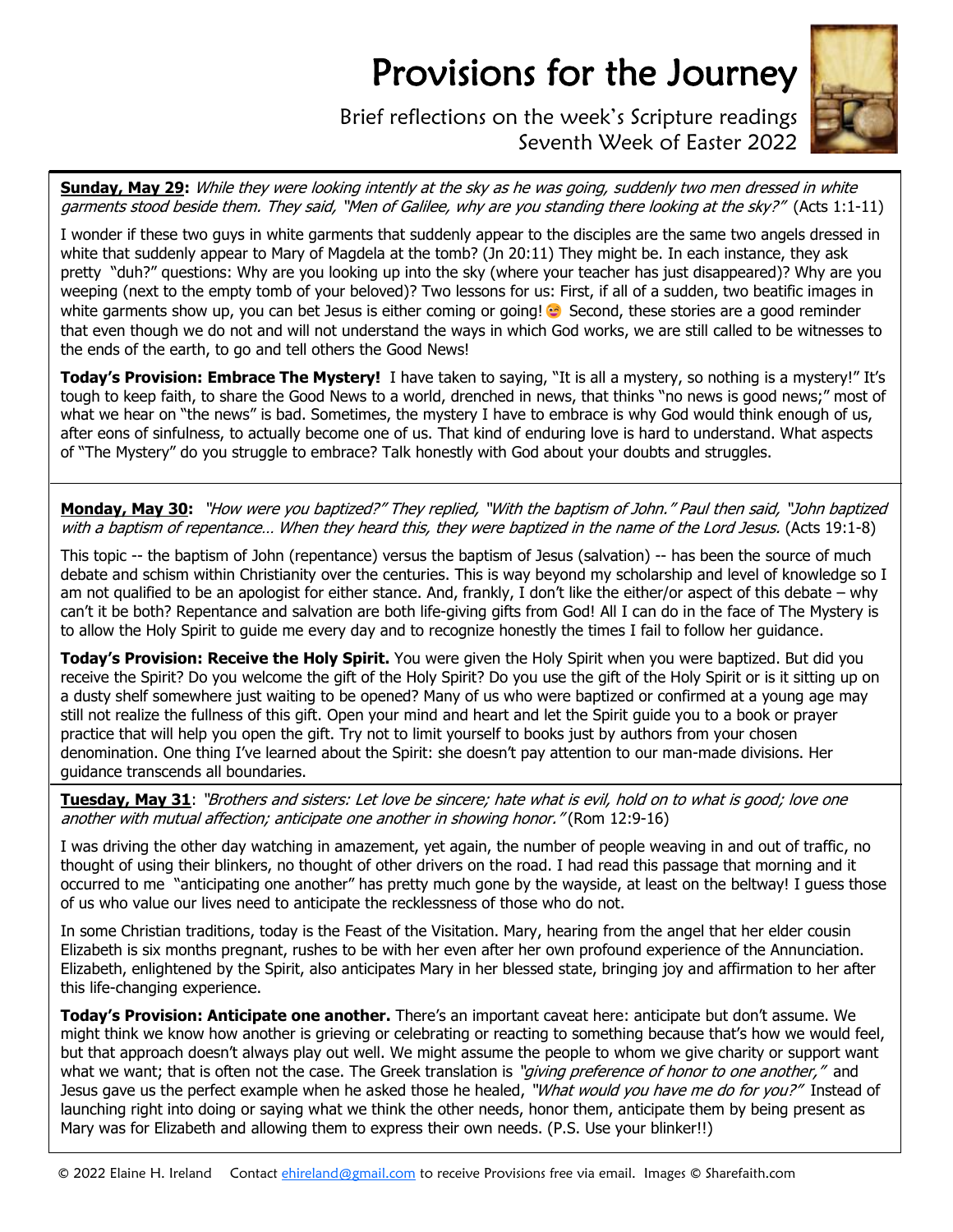## Provisions for the Journey



Brief reflections on the week's Scripture readings Seventh Week of Easter 2022

**Sunday, May 29:** While they were looking intently at the sky as he was going, suddenly two men dressed in white garments stood beside them. They said, "Men of Galilee, why are you standing there looking at the sky?" (Acts 1:1-11)

I wonder if these two guys in white garments that suddenly appear to the disciples are the same two angels dressed in white that suddenly appear to Mary of Magdela at the tomb? (Jn 20:11) They might be. In each instance, they ask pretty "duh?" questions: Why are you looking up into the sky (where your teacher has just disappeared)? Why are you weeping (next to the empty tomb of your beloved)? Two lessons for us: First, if all of a sudden, two beatific images in white garments show up, you can bet Jesus is either coming or going! Second, these stories are a good reminder that even though we do not and will not understand the ways in which God works, we are still called to be witnesses to the ends of the earth, to go and tell others the Good News!

**Today's Provision: Embrace The Mystery!** I have taken to saying, "It is all a mystery, so nothing is a mystery!" It's tough to keep faith, to share the Good News to a world, drenched in news, that thinks "no news is good news;" most of what we hear on "the news" is bad. Sometimes, the mystery I have to embrace is why God would think enough of us, after eons of sinfulness, to actually become one of us. That kind of enduring love is hard to understand. What aspects of "The Mystery" do you struggle to embrace? Talk honestly with God about your doubts and struggles.

**Monday, May 30:** "How were you baptized?" They replied, "With the baptism of John." Paul then said, "John baptized with a baptism of repentance… When they heard this, they were baptized in the name of the Lord Jesus. (Acts 19:1-8)

This topic -- the baptism of John (repentance) versus the baptism of Jesus (salvation) -- has been the source of much debate and schism within Christianity over the centuries. This is way beyond my scholarship and level of knowledge so I am not qualified to be an apologist for either stance. And, frankly, I don't like the either/or aspect of this debate – why can't it be both? Repentance and salvation are both life-giving gifts from God! All I can do in the face of The Mystery is to allow the Holy Spirit to guide me every day and to recognize honestly the times I fail to follow her guidance.

**Today's Provision: Receive the Holy Spirit.** You were given the Holy Spirit when you were baptized. But did you receive the Spirit? Do you welcome the gift of the Holy Spirit? Do you use the gift of the Holy Spirit or is it sitting up on a dusty shelf somewhere just waiting to be opened? Many of us who were baptized or confirmed at a young age may still not realize the fullness of this gift. Open your mind and heart and let the Spirit guide you to a book or prayer practice that will help you open the gift. Try not to limit yourself to books just by authors from your chosen denomination. One thing I've learned about the Spirit: she doesn't pay attention to our man-made divisions. Her guidance transcends all boundaries.

**Tuesday, May 31**: "Brothers and sisters: Let love be sincere; hate what is evil, hold on to what is good; love one another with mutual affection; anticipate one another in showing honor." (Rom 12:9-16)

I was driving the other day watching in amazement, yet again, the number of people weaving in and out of traffic, no thought of using their blinkers, no thought of other drivers on the road. I had read this passage that morning and it occurred to me "anticipating one another" has pretty much gone by the wayside, at least on the beltway! I guess those of us who value our lives need to anticipate the recklessness of those who do not.

In some Christian traditions, today is the Feast of the Visitation. Mary, hearing from the angel that her elder cousin Elizabeth is six months pregnant, rushes to be with her even after her own profound experience of the Annunciation. Elizabeth, enlightened by the Spirit, also anticipates Mary in her blessed state, bringing joy and affirmation to her after this life-changing experience.

**Today's Provision: Anticipate one another.** There's an important caveat here: anticipate but don't assume. We might think we know how another is grieving or celebrating or reacting to something because that's how we would feel, but that approach doesn't always play out well. We might assume the people to whom we give charity or support want what we want; that is often not the case. The Greek translation is "*giving preference of honor to one another,"* and Jesus gave us the perfect example when he asked those he healed, "What would you have me do for you?" Instead of launching right into doing or saying what we think the other needs, honor them, anticipate them by being present as Mary was for Elizabeth and allowing them to express their own needs. (P.S. Use your blinker!!)